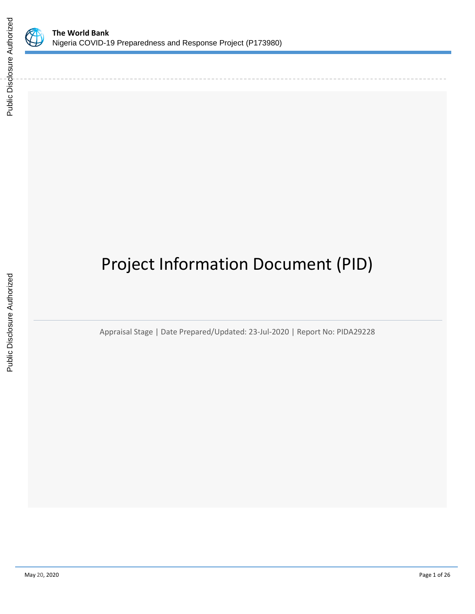

# Project Information Document (PID)

Appraisal Stage | Date Prepared/Updated: 23-Jul-2020 | Report No: PIDA29228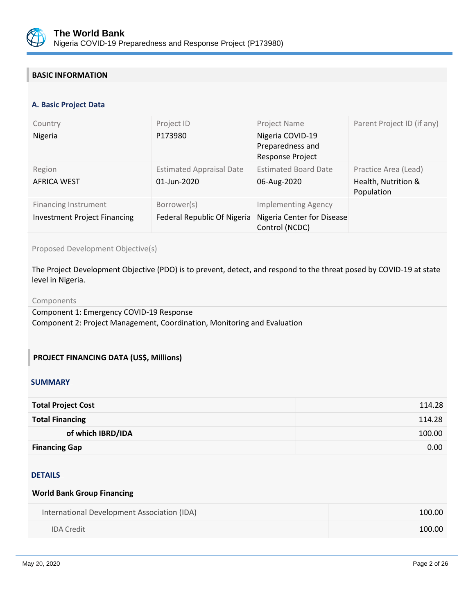

## **BASIC INFORMATION**

#### **OPS\_TABLE\_BASIC\_DATA A. Basic Project Data**

| Country<br>Nigeria                                                 | Project ID<br>P173980                          | Project Name<br>Nigeria COVID-19<br>Preparedness and<br><b>Response Project</b> | Parent Project ID (if any)                                |
|--------------------------------------------------------------------|------------------------------------------------|---------------------------------------------------------------------------------|-----------------------------------------------------------|
| Region<br>AFRICA WEST                                              | <b>Estimated Appraisal Date</b><br>01-Jun-2020 | <b>Estimated Board Date</b><br>06-Aug-2020                                      | Practice Area (Lead)<br>Health, Nutrition &<br>Population |
| <b>Financing Instrument</b><br><b>Investment Project Financing</b> | Borrower(s)<br>Federal Republic Of Nigeria     | <b>Implementing Agency</b><br>Nigeria Center for Disease<br>Control (NCDC)      |                                                           |

Proposed Development Objective(s)

The Project Development Objective (PDO) is to prevent, detect, and respond to the threat posed by COVID-19 at state level in Nigeria.

#### Components

Component 1: Emergency COVID-19 Response Component 2: Project Management, Coordination, Monitoring and Evaluation

## **PROJECT FINANCING DATA (US\$, Millions)**

#### **SUMMARY**

| <b>Total Project Cost</b> | 114.28 |
|---------------------------|--------|
| <b>Total Financing</b>    | 114.28 |
| of which IBRD/IDA         | 100.00 |
| <b>Financing Gap</b>      | 0.00   |

#### DETAILS

#### **World Bank Group Financing**

| International Development Association (IDA) | 100.00 |
|---------------------------------------------|--------|
| <b>IDA</b> Credit                           | 100.00 |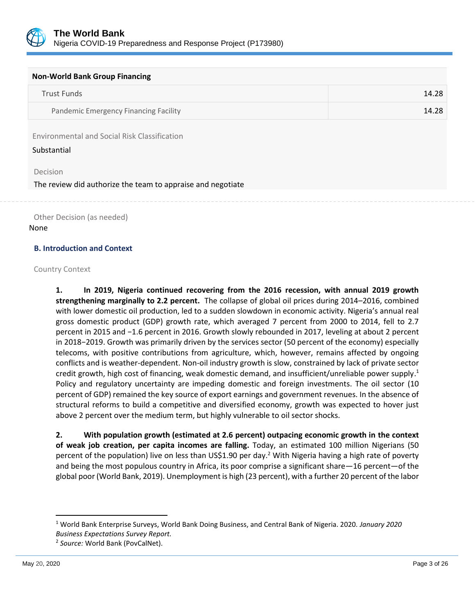

| <b>Non-World Bank Group Financing</b> |       |
|---------------------------------------|-------|
| Trust Funds                           | 14.28 |
| Pandemic Emergency Financing Facility | 14.28 |

Environmental and Social Risk Classification

Substantial

Decision

The review did authorize the team to appraise and negotiate

Other Decision (as needed) None

#### **B. Introduction and Context**

#### Country Context

**1. In 2019, Nigeria continued recovering from the 2016 recession, with annual 2019 growth strengthening marginally to 2.2 percent.** The collapse of global oil prices during 2014–2016, combined with lower domestic oil production, led to a sudden slowdown in economic activity. Nigeria's annual real gross domestic product (GDP) growth rate, which averaged 7 percent from 2000 to 2014, fell to 2.7 percent in 2015 and −1.6 percent in 2016. Growth slowly rebounded in 2017, leveling at about 2 percent in 2018−2019. Growth was primarily driven by the services sector (50 percent of the economy) especially telecoms, with positive contributions from agriculture, which, however, remains affected by ongoing conflicts and is weather-dependent. Non-oil industry growth is slow, constrained by lack of private sector credit growth, high cost of financing, weak domestic demand, and insufficient/unreliable power supply. 1 Policy and regulatory uncertainty are impeding domestic and foreign investments. The oil sector (10 percent of GDP) remained the key source of export earnings and government revenues. In the absence of structural reforms to build a competitive and diversified economy, growth was expected to hover just above 2 percent over the medium term, but highly vulnerable to oil sector shocks.

**2. With population growth (estimated at 2.6 percent) outpacing economic growth in the context of weak job creation, per capita incomes are falling.** Today, an estimated 100 million Nigerians (50 percent of the population) live on less than US\$1.90 per day.<sup>2</sup> With Nigeria having a high rate of poverty and being the most populous country in Africa, its poor comprise a significant share—16 percent—of the global poor (World Bank, 2019). Unemployment is high (23 percent), with a further 20 percent of the labor

<sup>1</sup> World Bank Enterprise Surveys, World Bank Doing Business, and Central Bank of Nigeria. 2020. *January 2020 Business Expectations Survey Report.*

<sup>2</sup> *Source:* World Bank (PovCalNet).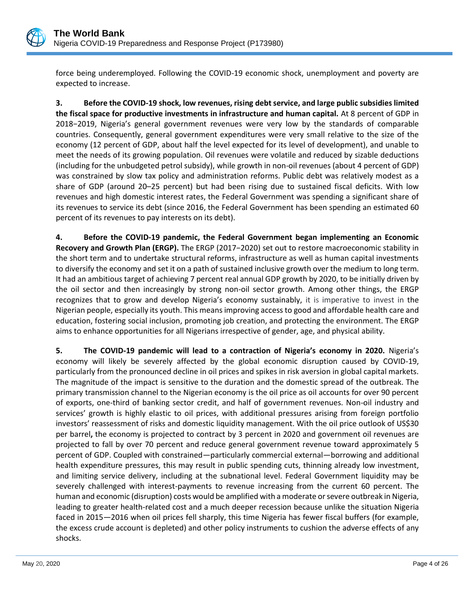

force being underemployed. Following the COVID-19 economic shock, unemployment and poverty are expected to increase.

**3. Before the COVID-19 shock, low revenues, rising debt service, and large public subsidies limited the fiscal space for productive investments in infrastructure and human capital.** At 8 percent of GDP in 2018−2019, Nigeria's general government revenues were very low by the standards of comparable countries. Consequently, general government expenditures were very small relative to the size of the economy (12 percent of GDP, about half the level expected for its level of development), and unable to meet the needs of its growing population. Oil revenues were volatile and reduced by sizable deductions (including for the unbudgeted petrol subsidy), while growth in non-oil revenues (about 4 percent of GDP) was constrained by slow tax policy and administration reforms. Public debt was relatively modest as a share of GDP (around 20–25 percent) but had been rising due to sustained fiscal deficits. With low revenues and high domestic interest rates, the Federal Government was spending a significant share of its revenues to service its debt (since 2016, the Federal Government has been spending an estimated 60 percent of its revenues to pay interests on its debt).

**4. Before the COVID-19 pandemic, the Federal Government began implementing an Economic Recovery and Growth Plan (ERGP).** The ERGP (2017−2020) set out to restore macroeconomic stability in the short term and to undertake structural reforms, infrastructure as well as human capital investments to diversify the economy and set it on a path of sustained inclusive growth over the medium to long term. It had an ambitious target of achieving 7 percent real annual GDP growth by 2020, to be initially driven by the oil sector and then increasingly by strong non-oil sector growth. Among other things, the ERGP recognizes that to grow and develop Nigeria's economy sustainably, it is imperative to invest in the Nigerian people, especially its youth. This means improving access to good and affordable health care and education, fostering social inclusion, promoting job creation, and protecting the environment. The ERGP aims to enhance opportunities for all Nigerians irrespective of gender, age, and physical ability.

**5. The COVID-19 pandemic will lead to a contraction of Nigeria's economy in 2020.** Nigeria's economy will likely be severely affected by the global economic disruption caused by COVID-19, particularly from the pronounced decline in oil prices and spikes in risk aversion in global capital markets. The magnitude of the impact is sensitive to the duration and the domestic spread of the outbreak. The primary transmission channel to the Nigerian economy is the oil price as oil accounts for over 90 percent of exports, one-third of banking sector credit, and half of government revenues. Non-oil industry and services' growth is highly elastic to oil prices, with additional pressures arising from foreign portfolio investors' reassessment of risks and domestic liquidity management. With the oil price outlook of US\$30 per barrel**,** the economy is projected to contract by 3 percent in 2020 and government oil revenues are projected to fall by over 70 percent and reduce general government revenue toward approximately 5 percent of GDP. Coupled with constrained—particularly commercial external—borrowing and additional health expenditure pressures, this may result in public spending cuts, thinning already low investment, and limiting service delivery, including at the subnational level. Federal Government liquidity may be severely challenged with interest-payments to revenue increasing from the current 60 percent. The human and economic (disruption) costs would be amplified with a moderate or severe outbreak in Nigeria, leading to greater health-related cost and a much deeper recession because unlike the situation Nigeria faced in 2015—2016 when oil prices fell sharply, this time Nigeria has fewer fiscal buffers (for example, the excess crude account is depleted) and other policy instruments to cushion the adverse effects of any shocks.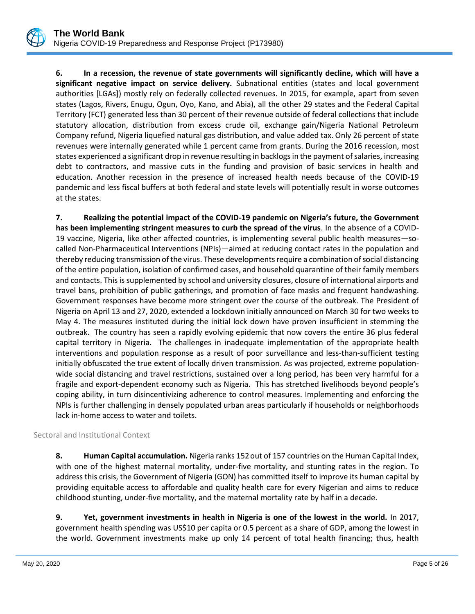**6. In a recession, the revenue of state governments will significantly decline, which will have a significant negative impact on service delivery.** Subnational entities (states and local government authorities [LGAs]) mostly rely on federally collected revenues. In 2015, for example, apart from seven states (Lagos, Rivers, Enugu, Ogun, Oyo, Kano, and Abia), all the other 29 states and the Federal Capital Territory (FCT) generated less than 30 percent of their revenue outside of federal collections that include statutory allocation, distribution from excess crude oil, exchange gain/Nigeria National Petroleum Company refund, Nigeria liquefied natural gas distribution, and value added tax. Only 26 percent of state revenues were internally generated while 1 percent came from grants. During the 2016 recession, most states experienced a significant drop in revenue resulting in backlogs in the payment of salaries, increasing debt to contractors, and massive cuts in the funding and provision of basic services in health and education. Another recession in the presence of increased health needs because of the COVID-19 pandemic and less fiscal buffers at both federal and state levels will potentially result in worse outcomes at the states.

**7. Realizing the potential impact of the COVID-19 pandemic on Nigeria's future, the Government has been implementing stringent measures to curb the spread of the virus**. In the absence of a COVID-19 vaccine, Nigeria, like other affected countries, is implementing several public health measures—socalled Non-Pharmaceutical Interventions (NPIs)—aimed at reducing contact rates in the population and thereby reducing transmission of the virus. These developments require a combination of social distancing of the entire population, isolation of confirmed cases, and household quarantine of their family members and contacts. This is supplemented by school and university closures, closure of international airports and travel bans, prohibition of public gatherings, and promotion of face masks and frequent handwashing. Government responses have become more stringent over the course of the outbreak. The President of Nigeria on April 13 and 27, 2020, extended a lockdown initially announced on March 30 for two weeks to May 4. The measures instituted during the initial lock down have proven insufficient in stemming the outbreak. The country has seen a rapidly evolving epidemic that now covers the entire 36 plus federal capital territory in Nigeria. The challenges in inadequate implementation of the appropriate health interventions and population response as a result of poor surveillance and less-than-sufficient testing initially obfuscated the true extent of locally driven transmission. As was projected, extreme populationwide social distancing and travel restrictions, sustained over a long period, has been very harmful for a fragile and export-dependent economy such as Nigeria. This has stretched livelihoods beyond people's coping ability, in turn disincentivizing adherence to control measures. Implementing and enforcing the NPIs is further challenging in densely populated urban areas particularly if households or neighborhoods lack in-home access to water and toilets.

## Sectoral and Institutional Context

**8. Human Capital accumulation.** Nigeria ranks 152out of 157 countries on the Human Capital Index, with one of the highest maternal mortality, under-five mortality, and stunting rates in the region. To address this crisis, the Government of Nigeria (GON) has committed itself to improve its human capital by providing equitable access to affordable and quality health care for every Nigerian and aims to reduce childhood stunting, under-five mortality, and the maternal mortality rate by half in a decade.

**9. Yet, government investments in health in Nigeria is one of the lowest in the world.** In 2017, government health spending was US\$10 per capita or 0.5 percent as a share of GDP, among the lowest in the world. Government investments make up only 14 percent of total health financing; thus, health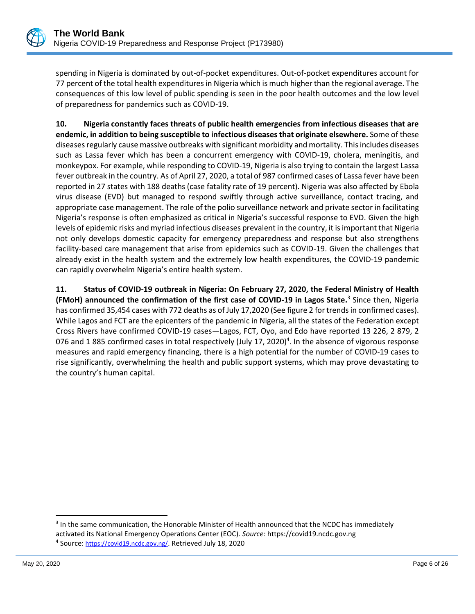

spending in Nigeria is dominated by out-of-pocket expenditures. Out-of-pocket expenditures account for 77 percent of the total health expenditures in Nigeria which is much higher than the regional average. The consequences of this low level of public spending is seen in the poor health outcomes and the low level of preparedness for pandemics such as COVID-19.

**10. Nigeria constantly faces threats of public health emergencies from infectious diseases that are endemic, in addition to being susceptible to infectious diseasesthat originate elsewhere.** Some of these diseases regularly cause massive outbreaks with significant morbidity and mortality. This includes diseases such as Lassa fever which has been a concurrent emergency with COVID-19, cholera, meningitis, and monkeypox. For example, while responding to COVID-19, Nigeria is also trying to contain the largest Lassa fever outbreak in the country. As of April 27, 2020, a total of 987 confirmed cases of Lassa fever have been reported in 27 states with 188 deaths (case fatality rate of 19 percent). Nigeria was also affected by Ebola virus disease (EVD) but managed to respond swiftly through active surveillance, contact tracing, and appropriate case management. The role of the polio surveillance network and private sector in facilitating Nigeria's response is often emphasized as critical in Nigeria's successful response to EVD. Given the high levels of epidemic risks and myriad infectious diseases prevalent in the country, it is important that Nigeria not only develops domestic capacity for emergency preparedness and response but also strengthens facility-based care management that arise from epidemics such as COVID-19. Given the challenges that already exist in the health system and the extremely low health expenditures, the COVID-19 pandemic can rapidly overwhelm Nigeria's entire health system.

**11. Status of COVID-19 outbreak in Nigeria: On February 27, 2020, the Federal Ministry of Health (FMoH) announced the confirmation of the first case of COVID-19 in Lagos State.** 3 Since then, Nigeria has confirmed 35,454 cases with 772 deaths as of July 17,2020 (See figure 2 for trends in confirmed cases). While Lagos and FCT are the epicenters of the pandemic in Nigeria, all the states of the Federation except Cross Rivers have confirmed COVID-19 cases—Lagos, FCT, Oyo, and Edo have reported 13 226, 2 879, 2 076 and 1 885 confirmed cases in total respectively (July 17, 2020)<sup>4</sup>. In the absence of vigorous response measures and rapid emergency financing, there is a high potential for the number of COVID-19 cases to rise significantly, overwhelming the health and public support systems, which may prove devastating to the country's human capital.

 $3$  In the same communication, the Honorable Minister of Health announced that the NCDC has immediately activated its National Emergency Operations Center (EOC). *Source:* https://covid19.ncdc.gov.ng <sup>4</sup> Source: <https://covid19.ncdc.gov.ng/>. Retrieved July 18, 2020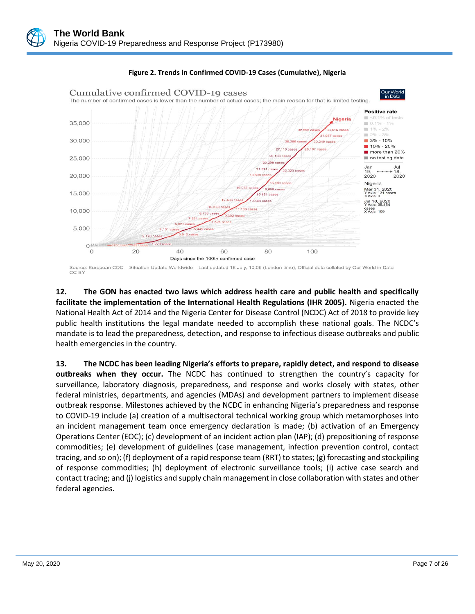

#### **Figure 2. Trends in Confirmed COVID-19 Cases (Cumulative), Nigeria**

**12. The GON has enacted two laws which address health care and public health and specifically facilitate the implementation of the International Health Regulations (IHR 2005).** Nigeria enacted the National Health Act of 2014 and the Nigeria Center for Disease Control (NCDC) Act of 2018 to provide key public health institutions the legal mandate needed to accomplish these national goals. The NCDC's mandate is to lead the preparedness, detection, and response to infectious disease outbreaks and public health emergencies in the country.

**13. The NCDC has been leading Nigeria's efforts to prepare, rapidly detect, and respond to disease outbreaks when they occur.** The NCDC has continued to strengthen the country's capacity for surveillance, laboratory diagnosis, preparedness, and response and works closely with states, other federal ministries, departments, and agencies (MDAs) and development partners to implement disease outbreak response. Milestones achieved by the NCDC in enhancing Nigeria's preparedness and response to COVID-19 include (a) creation of a multisectoral technical working group which metamorphoses into an incident management team once emergency declaration is made; (b) activation of an Emergency Operations Center (EOC); (c) development of an incident action plan (IAP); (d) prepositioning of response commodities; (e) development of guidelines (case management, infection prevention control, contact tracing, and so on); (f) deployment of a rapid response team (RRT) to states; (g) forecasting and stockpiling of response commodities; (h) deployment of electronic surveillance tools; (i) active case search and contact tracing; and (j) logistics and supply chain management in close collaboration with states and other federal agencies.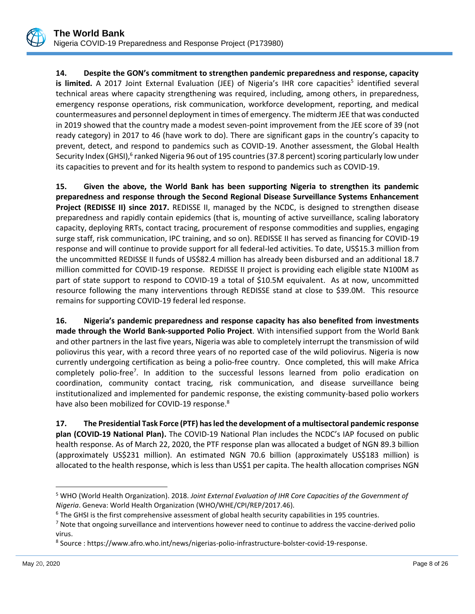**14. Despite the GON's commitment to strengthen pandemic preparedness and response, capacity**  is limited. A 2017 Joint External Evaluation (JEE) of Nigeria's IHR core capacities<sup>5</sup> identified several technical areas where capacity strengthening was required, including, among others, in preparedness, emergency response operations, risk communication, workforce development, reporting, and medical countermeasures and personnel deployment in times of emergency. The midterm JEE that was conducted in 2019 showed that the country made a modest seven-point improvement from the JEE score of 39 (not ready category) in 2017 to 46 (have work to do). There are significant gaps in the country's capacity to prevent, detect, and respond to pandemics such as COVID-19. Another assessment, the Global Health Security Index (GHSI),<sup>6</sup> ranked Nigeria 96 out of 195 countries (37.8 percent) scoring particularly low under its capacities to prevent and for its health system to respond to pandemics such as COVID-19.

**15. Given the above, the World Bank has been supporting Nigeria to strengthen its pandemic preparedness and response through the Second Regional Disease Surveillance Systems Enhancement Project (REDISSE II) since 2017.** REDISSE II, managed by the NCDC, is designed to strengthen disease preparedness and rapidly contain epidemics (that is, mounting of active surveillance, scaling laboratory capacity, deploying RRTs, contact tracing, procurement of response commodities and supplies, engaging surge staff, risk communication, IPC training, and so on). REDISSE II has served as financing for COVID-19 response and will continue to provide support for all federal-led activities. To date, US\$15.3 million from the uncommitted REDISSE II funds of US\$82.4 million has already been disbursed and an additional 18.7 million committed for COVID-19 response. REDISSE II project is providing each eligible state N100M as part of state support to respond to COVID-19 a total of \$10.5M equivalent. As at now, uncommitted resource following the many interventions through REDISSE stand at close to \$39.0M. This resource remains for supporting COVID-19 federal led response.

**16. Nigeria's pandemic preparedness and response capacity has also benefited from investments made through the World Bank-supported Polio Project**. With intensified support from the World Bank and other partners in the last five years, Nigeria was able to completely interrupt the transmission of wild poliovirus this year, with a record three years of no reported case of the wild poliovirus. Nigeria is now currently undergoing certification as being a polio-free country. Once completed, this will make Africa completely polio-free<sup>7</sup>. In addition to the successful lessons learned from polio eradication on coordination, community contact tracing, risk communication, and disease surveillance being institutionalized and implemented for pandemic response, the existing community-based polio workers have also been mobilized for COVID-19 response.<sup>8</sup>

**17. The Presidential Task Force (PTF) has led the development of a multisectoral pandemic response plan (COVID-19 National Plan).** The COVID-19 National Plan includes the NCDC's IAP focused on public health response. As of March 22, 2020, the PTF response plan was allocated a budget of NGN 89.3 billion (approximately US\$231 million). An estimated NGN 70.6 billion (approximately US\$183 million) is allocated to the health response, which is less than US\$1 per capita. The health allocation comprises NGN

<sup>5</sup> WHO (World Health Organization). 2018. *Joint External Evaluation of IHR Core Capacities of the Government of Nigeria*. Geneva: World Health Organization (WHO/WHE/CPI/REP/2017.46).

<sup>&</sup>lt;sup>6</sup> The GHSI is the first comprehensive assessment of global health security capabilities in 195 countries.

<sup>&</sup>lt;sup>7</sup> Note that ongoing surveillance and interventions however need to continue to address the vaccine-derived polio virus.

 $^8$  Source : https://www.afro.who.int/news/nigerias-polio-infrastructure-bolster-covid-19-response.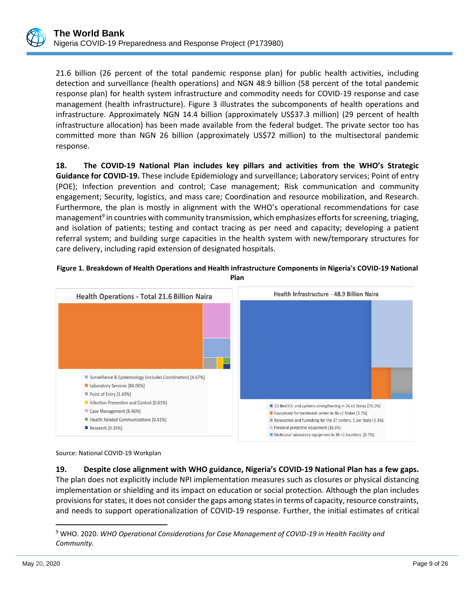21.6 billion (26 percent of the total pandemic response plan) for public health activities, including detection and surveillance (health operations) and NGN 48.9 billion (58 percent of the total pandemic response plan) for health system infrastructure and commodity needs for COVID-19 response and case management (health infrastructure). Figure 3 illustrates the subcomponents of health operations and infrastructure. Approximately NGN 14.4 billion (approximately US\$37.3 million) (29 percent of health infrastructure allocation) has been made available from the federal budget. The private sector too has committed more than NGN 26 billion (approximately US\$72 million) to the multisectoral pandemic response.

**18. The COVID-19 National Plan includes key pillars and activities from the WHO's Strategic Guidance for COVID-19.** These include Epidemiology and surveillance; Laboratory services; Point of entry (POE); Infection prevention and control; Case management; Risk communication and community engagement; Security, logistics, and mass care; Coordination and resource mobilization, and Research. Furthermore, the plan is mostly in alignment with the WHO's operational recommendations for case management<sup>9</sup> in countries with community transmission, which emphasizes efforts for screening, triaging, and isolation of patients; testing and contact tracing as per need and capacity; developing a patient referral system; and building surge capacities in the health system with new/temporary structures for care delivery, including rapid extension of designated hospitals.



## **Figure 1. Breakdown of Health Operations and Health infrastructure Components in Nigeria's COVID-19 National Plan**

Source: National COVID-19 Workplan

**19. Despite close alignment with WHO guidance, Nigeria's COVID-19 National Plan has a few gaps.** The plan does not explicitly include NPI implementation measures such as closures or physical distancing implementation or shielding and its impact on education or social protection. Although the plan includes provisions for states, it does not consider the gaps among states in terms of capacity, resource constraints, and needs to support operationalization of COVID-19 response. Further, the initial estimates of critical

<sup>9</sup> WHO. 2020. *WHO Operational Considerations for Case Management of COVID-19 in Health Facility and Community.*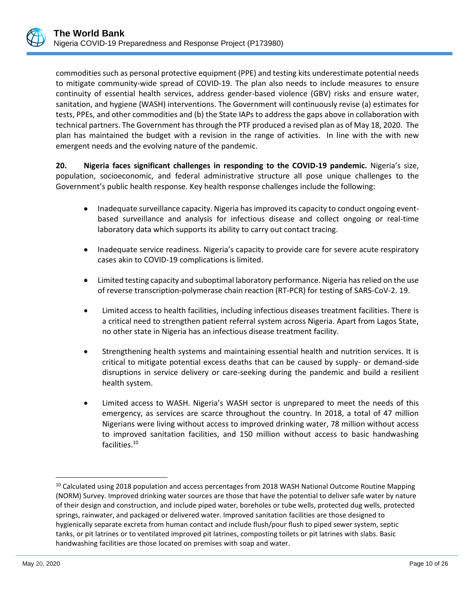commodities such as personal protective equipment (PPE) and testing kits underestimate potential needs to mitigate community-wide spread of COVID-19. The plan also needs to include measures to ensure continuity of essential health services, address gender-based violence (GBV) risks and ensure water, sanitation, and hygiene (WASH) interventions. The Government will continuously revise (a) estimates for tests, PPEs, and other commodities and (b) the State IAPs to address the gaps above in collaboration with technical partners. The Government has through the PTF produced a revised plan as of May 18, 2020. The plan has maintained the budget with a revision in the range of activities. In line with the with new emergent needs and the evolving nature of the pandemic.

**20. Nigeria faces significant challenges in responding to the COVID-19 pandemic.** Nigeria's size, population, socioeconomic, and federal administrative structure all pose unique challenges to the Government's public health response. Key health response challenges include the following:

- Inadequate surveillance capacity. Nigeria has improved its capacity to conduct ongoing eventbased surveillance and analysis for infectious disease and collect ongoing or real-time laboratory data which supports its ability to carry out contact tracing.
- Inadequate service readiness. Nigeria's capacity to provide care for severe acute respiratory cases akin to COVID-19 complications is limited.
- Limited testing capacity and suboptimal laboratory performance. Nigeria has relied on the use of reverse transcription-polymerase chain reaction (RT-PCR) for testing of SARS-CoV-2. 19.
- Limited access to health facilities, including infectious diseases treatment facilities. There is a critical need to strengthen patient referral system across Nigeria. Apart from Lagos State, no other state in Nigeria has an infectious disease treatment facility.
- Strengthening health systems and maintaining essential health and nutrition services. It is critical to mitigate potential excess deaths that can be caused by supply- or demand-side disruptions in service delivery or care-seeking during the pandemic and build a resilient health system.
- Limited access to WASH. Nigeria's WASH sector is unprepared to meet the needs of this emergency, as services are scarce throughout the country. In 2018, a total of 47 million Nigerians were living without access to improved drinking water, 78 million without access to improved sanitation facilities, and 150 million without access to basic handwashing facilities.<sup>10</sup>

<sup>&</sup>lt;sup>10</sup> Calculated using 2018 population and access percentages from 2018 WASH National Outcome Routine Mapping (NORM) Survey. Improved drinking water sources are those that have the potential to deliver safe water by nature of their design and construction, and include piped water, boreholes or tube wells, protected dug wells, protected springs, rainwater, and packaged or delivered water. Improved sanitation facilities are those designed to hygienically separate excreta from human contact and include flush/pour flush to piped sewer system, septic tanks, or pit latrines or to ventilated improved pit latrines, composting toilets or pit latrines with slabs. Basic handwashing facilities are those located on premises with soap and water.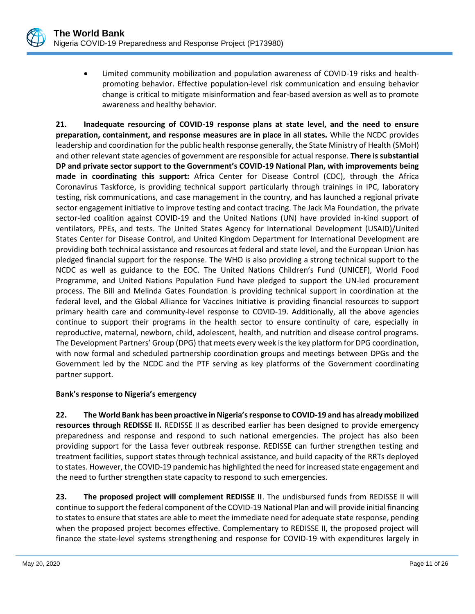

• Limited community mobilization and population awareness of COVID-19 risks and healthpromoting behavior. Effective population-level risk communication and ensuing behavior change is critical to mitigate misinformation and fear-based aversion as well as to promote awareness and healthy behavior.

**21. Inadequate resourcing of COVID-19 response plans at state level, and the need to ensure preparation, containment, and response measures are in place in all states.** While the NCDC provides leadership and coordination for the public health response generally, the State Ministry of Health (SMoH) and other relevant state agencies of government are responsible for actual response. **There is substantial DP and private sector support to the Government's COVID-19 National Plan, with improvements being made in coordinating this support:** Africa Center for Disease Control (CDC), through the Africa Coronavirus Taskforce, is providing technical support particularly through trainings in IPC, laboratory testing, risk communications, and case management in the country, and has launched a regional private sector engagement initiative to improve testing and contact tracing. The Jack Ma Foundation, the private sector-led coalition against COVID-19 and the United Nations (UN) have provided in-kind support of ventilators, PPEs, and tests. The United States Agency for International Development (USAID)/United States Center for Disease Control, and United Kingdom Department for International Development are providing both technical assistance and resources at federal and state level, and the European Union has pledged financial support for the response. The WHO is also providing a strong technical support to the NCDC as well as guidance to the EOC. The United Nations Children's Fund (UNICEF), World Food Programme, and United Nations Population Fund have pledged to support the UN-led procurement process. The Bill and Melinda Gates Foundation is providing technical support in coordination at the federal level, and the Global Alliance for Vaccines Initiative is providing financial resources to support primary health care and community-level response to COVID-19. Additionally, all the above agencies continue to support their programs in the health sector to ensure continuity of care, especially in reproductive, maternal, newborn, child, adolescent, health, and nutrition and disease control programs. The Development Partners' Group (DPG) that meets every week is the key platform for DPG coordination, with now formal and scheduled partnership coordination groups and meetings between DPGs and the Government led by the NCDC and the PTF serving as key platforms of the Government coordinating partner support.

## **Bank's response to Nigeria's emergency**

**22. The World Bank has been proactive in Nigeria's response to COVID-19 and has already mobilized resources through REDISSE II.** REDISSE II as described earlier has been designed to provide emergency preparedness and response and respond to such national emergencies. The project has also been providing support for the Lassa fever outbreak response. REDISSE can further strengthen testing and treatment facilities, support states through technical assistance, and build capacity of the RRTs deployed to states. However, the COVID-19 pandemic has highlighted the need for increased state engagement and the need to further strengthen state capacity to respond to such emergencies.

**23. The proposed project will complement REDISSE II**. The undisbursed funds from REDISSE II will continue to support the federal component of the COVID-19 National Plan and will provide initial financing to states to ensure that states are able to meet the immediate need for adequate state response, pending when the proposed project becomes effective. Complementary to REDISSE II, the proposed project will finance the state-level systems strengthening and response for COVID-19 with expenditures largely in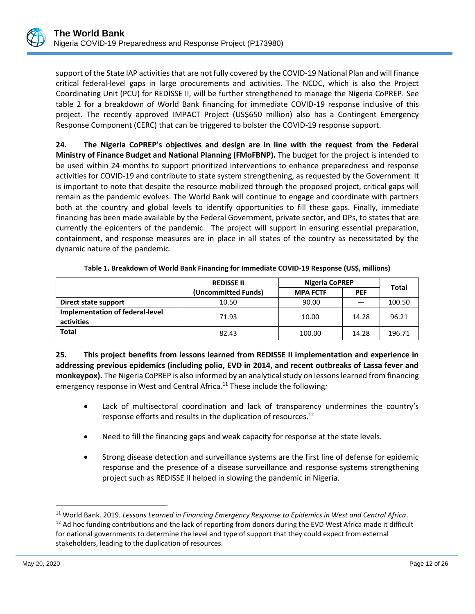support of the State IAP activities that are not fully covered by the COVID-19 National Plan and will finance critical federal-level gaps in large procurements and activities. The NCDC, which is also the Project Coordinating Unit (PCU) for REDISSE II, will be further strengthened to manage the Nigeria CoPREP. See table 2 for a breakdown of World Bank financing for immediate COVID-19 response inclusive of this project. The recently approved IMPACT Project (US\$650 million) also has a Contingent Emergency Response Component (CERC) that can be triggered to bolster the COVID-19 response support.

**24. The Nigeria CoPREP's objectives and design are in line with the request from the Federal Ministry of Finance Budget and National Planning (FMoFBNP).** The budget for the project is intended to be used within 24 months to support prioritized interventions to enhance preparedness and response activities for COVID-19 and contribute to state system strengthening, as requested by the Government. It is important to note that despite the resource mobilized through the proposed project, critical gaps will remain as the pandemic evolves. The World Bank will continue to engage and coordinate with partners both at the country and global levels to identify opportunities to fill these gaps. Finally, immediate financing has been made available by the Federal Government, private sector, and DPs, to states that are currently the epicenters of the pandemic. The project will support in ensuring essential preparation, containment, and response measures are in place in all states of the country as necessitated by the dynamic nature of the pandemic.

|                                               | <b>REDISSE II</b>   | <b>Nigeria CoPREP</b> |            |              |
|-----------------------------------------------|---------------------|-----------------------|------------|--------------|
|                                               | (Uncommitted Funds) | <b>MPA FCTF</b>       | <b>PEF</b> | <b>Total</b> |
| Direct state support                          | 10.50               | 90.00                 |            | 100.50       |
| Implementation of federal-level<br>activities | 71.93               | 10.00                 | 14.28      | 96.21        |
| <b>Total</b>                                  | 82.43               | 100.00                | 14.28      | 196.71       |

**Table 1. Breakdown of World Bank Financing for Immediate COVID-19 Response (US\$, millions)**

**25. This project benefits from lessons learned from REDISSE II implementation and experience in addressing previous epidemics (including polio, EVD in 2014, and recent outbreaks of Lassa fever and monkeypox).** The Nigeria CoPREP is also informed by an analytical study on lessons learned from financing emergency response in West and Central Africa.<sup>11</sup> These include the following*:*

- Lack of multisectoral coordination and lack of transparency undermines the country's response efforts and results in the duplication of resources.<sup>12</sup>
- Need to fill the financing gaps and weak capacity for response at the state levels.
- Strong disease detection and surveillance systems are the first line of defense for epidemic response and the presence of a disease surveillance and response systems strengthening project such as REDISSE II helped in slowing the pandemic in Nigeria.

<sup>11</sup> World Bank. 2019. *Lessons Learned in Financing Emergency Response to Epidemics in West and Central Africa*.  $12$  Ad hoc funding contributions and the lack of reporting from donors during the EVD West Africa made it difficult for national governments to determine the level and type of support that they could expect from external stakeholders, leading to the duplication of resources.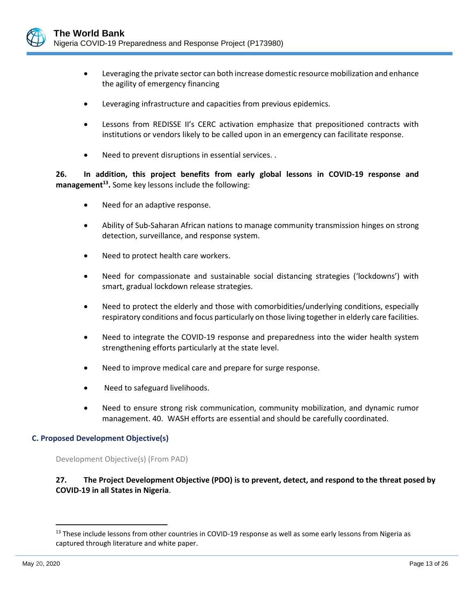

- Leveraging the private sector can both increase domestic resource mobilization and enhance the agility of emergency financing
- Leveraging infrastructure and capacities from previous epidemics.
- Lessons from REDISSE II's CERC activation emphasize that prepositioned contracts with institutions or vendors likely to be called upon in an emergency can facilitate response.
- Need to prevent disruptions in essential services. .

**26. In addition, this project benefits from early global lessons in COVID-19 response and management<sup>13</sup> .** Some key lessons include the following:

- Need for an adaptive response.
- Ability of Sub-Saharan African nations to manage community transmission hinges on strong detection, surveillance, and response system.
- Need to protect health care workers.
- Need for compassionate and sustainable social distancing strategies ('lockdowns') with smart, gradual lockdown release strategies.
- Need to protect the elderly and those with comorbidities/underlying conditions, especially respiratory conditions and focus particularly on those living together in elderly care facilities.
- Need to integrate the COVID-19 response and preparedness into the wider health system strengthening efforts particularly at the state level.
- Need to improve medical care and prepare for surge response.
- Need to safeguard livelihoods.
- Need to ensure strong risk communication, community mobilization, and dynamic rumor management. 40. WASH efforts are essential and should be carefully coordinated.

#### **C. Proposed Development Objective(s)**

Development Objective(s) (From PAD)

## **27. The Project Development Objective (PDO) is to prevent, detect, and respond to the threat posed by COVID-19 in all States in Nigeria**.

 $13$  These include lessons from other countries in COVID-19 response as well as some early lessons from Nigeria as captured through literature and white paper.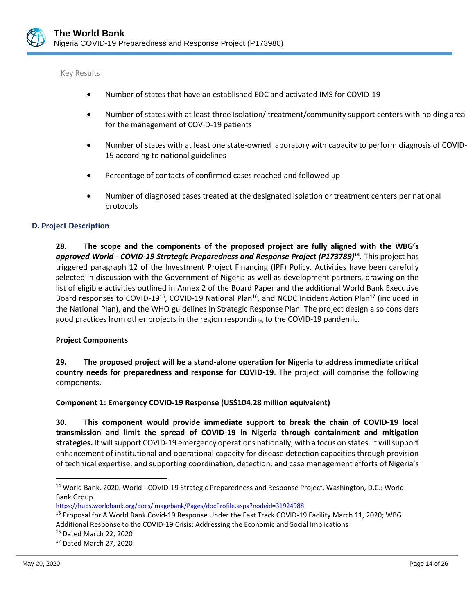

Key Results

- Number of states that have an established EOC and activated IMS for COVID-19
- Number of states with at least three Isolation/ treatment/community support centers with holding area for the management of COVID-19 patients
- Number of states with at least one state-owned laboratory with capacity to perform diagnosis of COVID-19 according to national guidelines
- Percentage of contacts of confirmed cases reached and followed up
- Number of diagnosed cases treated at the designated isolation or treatment centers per national protocols

## **D. Project Description**

**28. The scope and the components of the proposed project are fully aligned with the WBG's**  *approved World - COVID-19 Strategic Preparedness and Response Project (P173789)***<sup>14</sup>** *.* This project has triggered paragraph 12 of the Investment Project Financing (IPF) Policy. Activities have been carefully selected in discussion with the Government of Nigeria as well as development partners, drawing on the list of eligible activities outlined in Annex 2 of the Board Paper and the additional World Bank Executive Board responses to COVID-19<sup>15</sup>, COVID-19 National Plan<sup>16</sup>, and NCDC Incident Action Plan<sup>17</sup> (included in the National Plan), and the WHO guidelines in Strategic Response Plan. The project design also considers good practices from other projects in the region responding to the COVID-19 pandemic.

## **Project Components**

**29. The proposed project will be a stand-alone operation for Nigeria to address immediate critical country needs for preparedness and response for COVID-19**. The project will comprise the following components.

## **Component 1: Emergency COVID-19 Response (US\$104.28 million equivalent)**

**30. This component would provide immediate support to break the chain of COVID-19 local transmission and limit the spread of COVID-19 in Nigeria through containment and mitigation strategies.** It will support COVID-19 emergency operations nationally, with a focus on states. It will support enhancement of institutional and operational capacity for disease detection capacities through provision of technical expertise, and supporting coordination, detection, and case management efforts of Nigeria's

<https://hubs.worldbank.org/docs/imagebank/Pages/docProfile.aspx?nodeid=31924988>

<sup>14</sup> World Bank. 2020. World - COVID-19 Strategic Preparedness and Response Project. Washington, D.C.: World Bank Group.

<sup>15</sup> Proposal for A World Bank Covid-19 Response Under the Fast Track COVID-19 Facility March 11, 2020; WBG Additional Response to the COVID-19 Crisis: Addressing the Economic and Social Implications

<sup>16</sup> Dated March 22, 2020

<sup>17</sup> Dated March 27, 2020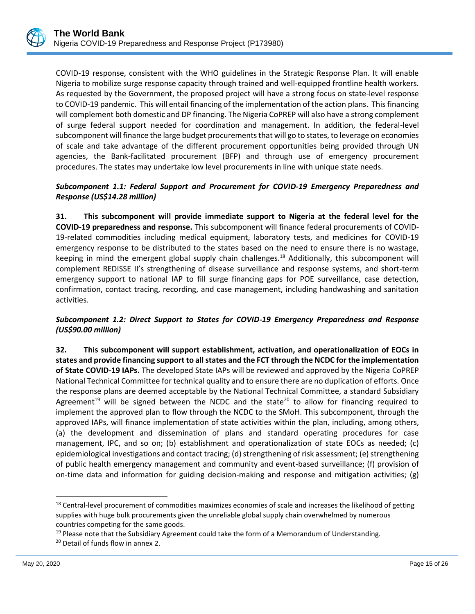COVID-19 response, consistent with the WHO guidelines in the Strategic Response Plan. It will enable Nigeria to mobilize surge response capacity through trained and well-equipped frontline health workers. As requested by the Government, the proposed project will have a strong focus on state-level response to COVID-19 pandemic. This will entail financing of the implementation of the action plans. This financing will complement both domestic and DP financing. The Nigeria CoPREP will also have a strong complement of surge federal support needed for coordination and management. In addition, the federal-level subcomponent will finance the large budget procurements that will go to states, to leverage on economies of scale and take advantage of the different procurement opportunities being provided through UN agencies, the Bank-facilitated procurement (BFP) and through use of emergency procurement procedures. The states may undertake low level procurements in line with unique state needs.

## *Subcomponent 1.1: Federal Support and Procurement for COVID-19 Emergency Preparedness and Response (US\$14.28 million)*

**31. This subcomponent will provide immediate support to Nigeria at the federal level for the COVID-19 preparedness and response.** This subcomponent will finance federal procurements of COVID-19-related commodities including medical equipment, laboratory tests, and medicines for COVID-19 emergency response to be distributed to the states based on the need to ensure there is no wastage, keeping in mind the emergent global supply chain challenges.<sup>18</sup> Additionally, this subcomponent will complement REDISSE II's strengthening of disease surveillance and response systems, and short-term emergency support to national IAP to fill surge financing gaps for POE surveillance, case detection, confirmation, contact tracing, recording, and case management, including handwashing and sanitation activities.

## *Subcomponent 1.2: Direct Support to States for COVID-19 Emergency Preparedness and Response (US\$90.00 million)*

**32. This subcomponent will support establishment, activation, and operationalization of EOCs in states and provide financing support to all states and the FCT through the NCDC for the implementation of State COVID-19 IAPs.** The developed State IAPs will be reviewed and approved by the Nigeria CoPREP National Technical Committee for technical quality and to ensure there are no duplication of efforts. Once the response plans are deemed acceptable by the National Technical Committee, a standard Subsidiary Agreement<sup>19</sup> will be signed between the NCDC and the state<sup>20</sup> to allow for financing required to implement the approved plan to flow through the NCDC to the SMoH. This subcomponent, through the approved IAPs, will finance implementation of state activities within the plan, including, among others, (a) the development and dissemination of plans and standard operating procedures for case management, IPC, and so on; (b) establishment and operationalization of state EOCs as needed; (c) epidemiological investigations and contact tracing; (d) strengthening of risk assessment; (e) strengthening of public health emergency management and community and event-based surveillance; (f) provision of on-time data and information for guiding decision-making and response and mitigation activities; (g)

<sup>&</sup>lt;sup>18</sup> Central-level procurement of commodities maximizes economies of scale and increases the likelihood of getting supplies with huge bulk procurements given the unreliable global supply chain overwhelmed by numerous countries competing for the same goods.

 $19$  Please note that the Subsidiary Agreement could take the form of a Memorandum of Understanding.

<sup>20</sup> Detail of funds flow in annex 2.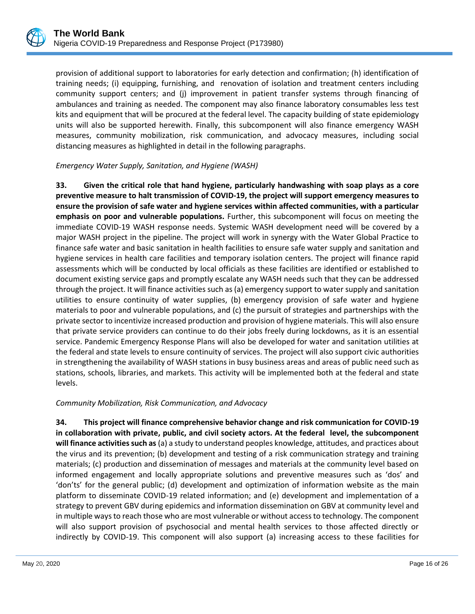provision of additional support to laboratories for early detection and confirmation; (h) identification of training needs; (i) equipping, furnishing, and renovation of isolation and treatment centers including community support centers; and (j) improvement in patient transfer systems through financing of ambulances and training as needed. The component may also finance laboratory consumables less test kits and equipment that will be procured at the federal level. The capacity building of state epidemiology units will also be supported herewith. Finally, this subcomponent will also finance emergency WASH measures, community mobilization, risk communication, and advocacy measures, including social distancing measures as highlighted in detail in the following paragraphs.

## *Emergency Water Supply, Sanitation, and Hygiene (WASH)*

**33. Given the critical role that hand hygiene, particularly handwashing with soap plays as a core preventive measure to halt transmission of COVID-19, the project will support emergency measures to ensure the provision of safe water and hygiene services within affected communities, with a particular emphasis on poor and vulnerable populations.** Further, this subcomponent will focus on meeting the immediate COVID-19 WASH response needs. Systemic WASH development need will be covered by a major WASH project in the pipeline. The project will work in synergy with the Water Global Practice to finance safe water and basic sanitation in health facilities to ensure safe water supply and sanitation and hygiene services in health care facilities and temporary isolation centers. The project will finance rapid assessments which will be conducted by local officials as these facilities are identified or established to document existing service gaps and promptly escalate any WASH needs such that they can be addressed through the project. It will finance activities such as (a) emergency support to water supply and sanitation utilities to ensure continuity of water supplies, (b) emergency provision of safe water and hygiene materials to poor and vulnerable populations, and (c) the pursuit of strategies and partnerships with the private sector to incentivize increased production and provision of hygiene materials. This will also ensure that private service providers can continue to do their jobs freely during lockdowns, as it is an essential service. Pandemic Emergency Response Plans will also be developed for water and sanitation utilities at the federal and state levels to ensure continuity of services. The project will also support civic authorities in strengthening the availability of WASH stations in busy business areas and areas of public need such as stations, schools, libraries, and markets. This activity will be implemented both at the federal and state levels.

## *Community Mobilization, Risk Communication, and Advocacy*

**34. This project will finance comprehensive behavior change and risk communication for COVID-19 in collaboration with private, public, and civil society actors. At the federal level, the subcomponent will finance activities such as** (a) a study to understand peoples knowledge, attitudes, and practices about the virus and its prevention; (b) development and testing of a risk communication strategy and training materials; (c) production and dissemination of messages and materials at the community level based on informed engagement and locally appropriate solutions and preventive measures such as 'dos' and 'don'ts' for the general public; (d) development and optimization of information website as the main platform to disseminate COVID-19 related information; and (e) development and implementation of a strategy to prevent GBV during epidemics and information dissemination on GBV at community level and in multiple ways to reach those who are most vulnerable or without access to technology. The component will also support provision of psychosocial and mental health services to those affected directly or indirectly by COVID-19. This component will also support (a) increasing access to these facilities for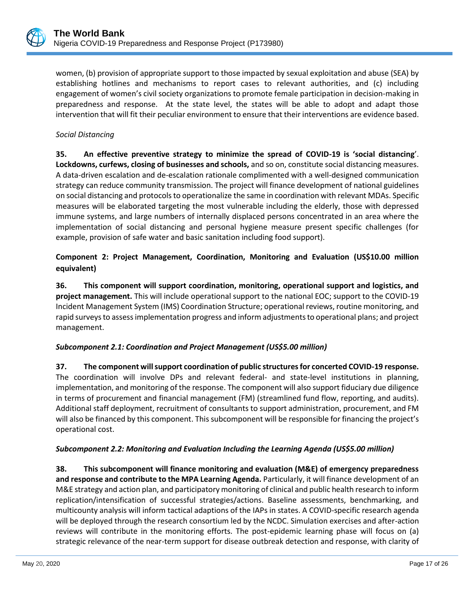

women, (b) provision of appropriate support to those impacted by sexual exploitation and abuse (SEA) by establishing hotlines and mechanisms to report cases to relevant authorities, and (c) including engagement of women's civil society organizations to promote female participation in decision-making in preparedness and response. At the state level, the states will be able to adopt and adapt those intervention that will fit their peculiar environment to ensure that their interventions are evidence based.

## *Social Distancing*

**35. An effective preventive strategy to minimize the spread of COVID-19 is 'social distancing**'. **Lockdowns, curfews, closing of businesses and schools,** and so on, constitute social distancing measures. A data-driven escalation and de-escalation rationale complimented with a well-designed communication strategy can reduce community transmission. The project will finance development of national guidelines on social distancing and protocols to operationalize the same in coordination with relevant MDAs. Specific measures will be elaborated targeting the most vulnerable including the elderly, those with depressed immune systems, and large numbers of internally displaced persons concentrated in an area where the implementation of social distancing and personal hygiene measure present specific challenges (for example, provision of safe water and basic sanitation including food support).

## **Component 2: Project Management, Coordination, Monitoring and Evaluation (US\$10.00 million equivalent)**

**36. This component will support coordination, monitoring, operational support and logistics, and project management.** This will include operational support to the national EOC; support to the COVID-19 Incident Management System (IMS) Coordination Structure; operational reviews, routine monitoring, and rapid surveys to assess implementation progress and inform adjustments to operational plans; and project management.

## *Subcomponent 2.1: Coordination and Project Management (US\$5.00 million)*

**37. The component will support coordination of public structures for concerted COVID-19 response.**  The coordination will involve DPs and relevant federal- and state-level institutions in planning, implementation, and monitoring of the response. The component will also support fiduciary due diligence in terms of procurement and financial management (FM) (streamlined fund flow, reporting, and audits). Additional staff deployment, recruitment of consultants to support administration, procurement, and FM will also be financed by this component. This subcomponent will be responsible for financing the project's operational cost.

## *Subcomponent 2.2: Monitoring and Evaluation Including the Learning Agenda (US\$5.00 million)*

**38. This subcomponent will finance monitoring and evaluation (M&E) of emergency preparedness and response and contribute to the MPA Learning Agenda.** Particularly, it will finance development of an M&E strategy and action plan, and participatory monitoring of clinical and public health research to inform replication/intensification of successful strategies/actions. Baseline assessments, benchmarking, and multicounty analysis will inform tactical adaptions of the IAPs in states. A COVID-specific research agenda will be deployed through the research consortium led by the NCDC. Simulation exercises and after-action reviews will contribute in the monitoring efforts. The post-epidemic learning phase will focus on (a) strategic relevance of the near-term support for disease outbreak detection and response, with clarity of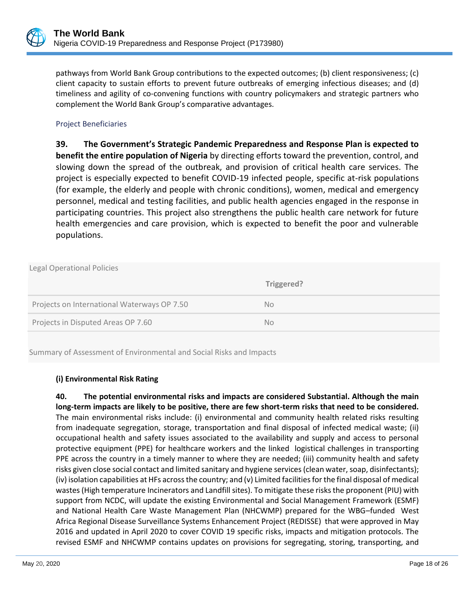

pathways from World Bank Group contributions to the expected outcomes; (b) client responsiveness; (c) client capacity to sustain efforts to prevent future outbreaks of emerging infectious diseases; and (d) timeliness and agility of co-convening functions with country policymakers and strategic partners who complement the World Bank Group's comparative advantages.

## Project Beneficiaries

**39. The Government's Strategic Pandemic Preparedness and Response Plan is expected to benefit the entire population of Nigeria** by directing efforts toward the prevention, control, and slowing down the spread of the outbreak, and provision of critical health care services. The project is especially expected to benefit COVID-19 infected people, specific at-risk populations (for example, the elderly and people with chronic conditions), women, medical and emergency personnel, medical and testing facilities, and public health agencies engaged in the response in participating countries. This project also strengthens the public health care network for future health emergencies and care provision, which is expected to benefit the poor and vulnerable populations.

| <b>Legal Operational Policies</b>           |            |
|---------------------------------------------|------------|
|                                             | Triggered? |
| Projects on International Waterways OP 7.50 | <b>No</b>  |
| Projects in Disputed Areas OP 7.60          | No.        |
|                                             |            |

Summary of Assessment of Environmental and Social Risks and Impacts

## **(i) Environmental Risk Rating**

**40. The potential environmental risks and impacts are considered Substantial. Although the main long-term impacts are likely to be positive, there are few short-term risks that need to be considered.** The main environmental risks include: (i) environmental and community health related risks resulting from inadequate segregation, storage, transportation and final disposal of infected medical waste; (ii) occupational health and safety issues associated to the availability and supply and access to personal protective equipment (PPE) for healthcare workers and the linked logistical challenges in transporting PPE across the country in a timely manner to where they are needed; (iii) community health and safety risks given close social contact and limited sanitary and hygiene services (clean water, soap, disinfectants); (iv) isolation capabilities at HFs across the country; and (v) Limited facilities for the final disposal of medical wastes (High temperature Incinerators and Landfill sites). To mitigate these risks the proponent (PIU) with support from NCDC, will update the existing Environmental and Social Management Framework (ESMF) and National Health Care Waste Management Plan (NHCWMP) prepared for the WBG–funded West Africa Regional Disease Surveillance Systems Enhancement Project (REDISSE) that were approved in May 2016 and updated in April 2020 to cover COVID 19 specific risks, impacts and mitigation protocols. The revised ESMF and NHCWMP contains updates on provisions for segregating, storing, transporting, and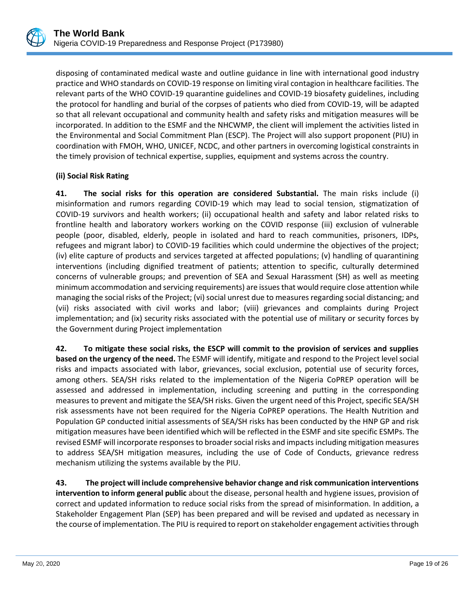disposing of contaminated medical waste and outline guidance in line with international good industry practice and WHO standards on COVID-19 response on limiting viral contagion in healthcare facilities. The relevant parts of the WHO COVID-19 quarantine guidelines and COVID-19 biosafety guidelines, including the protocol for handling and burial of the corpses of patients who died from COVID-19, will be adapted so that all relevant occupational and community health and safety risks and mitigation measures will be incorporated. In addition to the ESMF and the NHCWMP, the client will implement the activities listed in the Environmental and Social Commitment Plan (ESCP). The Project will also support proponent (PIU) in coordination with FMOH, WHO, UNICEF, NCDC, and other partners in overcoming logistical constraints in the timely provision of technical expertise, supplies, equipment and systems across the country.

## **(ii) Social Risk Rating**

**41. The social risks for this operation are considered Substantial.** The main risks include (i) misinformation and rumors regarding COVID-19 which may lead to social tension, stigmatization of COVID-19 survivors and health workers; (ii) occupational health and safety and labor related risks to frontline health and laboratory workers working on the COVID response (iii) exclusion of vulnerable people (poor, disabled, elderly, people in isolated and hard to reach communities, prisoners, IDPs, refugees and migrant labor) to COVID-19 facilities which could undermine the objectives of the project; (iv) elite capture of products and services targeted at affected populations; (v) handling of quarantining interventions (including dignified treatment of patients; attention to specific, culturally determined concerns of vulnerable groups; and prevention of SEA and Sexual Harassment (SH) as well as meeting minimum accommodation and servicing requirements) are issues that would require close attention while managing the social risks of the Project; (vi) social unrest due to measures regarding social distancing; and (vii) risks associated with civil works and labor; (viii) grievances and complaints during Project implementation; and (ix) security risks associated with the potential use of military or security forces by the Government during Project implementation

**42. To mitigate these social risks, the ESCP will commit to the provision of services and supplies based on the urgency of the need.** The ESMF will identify, mitigate and respond to the Project level social risks and impacts associated with labor, grievances, social exclusion, potential use of security forces, among others. SEA/SH risks related to the implementation of the Nigeria CoPREP operation will be assessed and addressed in implementation, including screening and putting in the corresponding measures to prevent and mitigate the SEA/SH risks. Given the urgent need of this Project, specific SEA/SH risk assessments have not been required for the Nigeria CoPREP operations. The Health Nutrition and Population GP conducted initial assessments of SEA/SH risks has been conducted by the HNP GP and risk mitigation measures have been identified which will be reflected in the ESMF and site specific ESMPs. The revised ESMF will incorporate responses to broader social risks and impacts including mitigation measures to address SEA/SH mitigation measures, including the use of Code of Conducts, grievance redress mechanism utilizing the systems available by the PIU.

**43. The project will include comprehensive behavior change and risk communication interventions intervention to inform general public** about the disease, personal health and hygiene issues, provision of correct and updated information to reduce social risks from the spread of misinformation. In addition, a Stakeholder Engagement Plan (SEP) has been prepared and will be revised and updated as necessary in the course of implementation. The PIU is required to report on stakeholder engagement activities through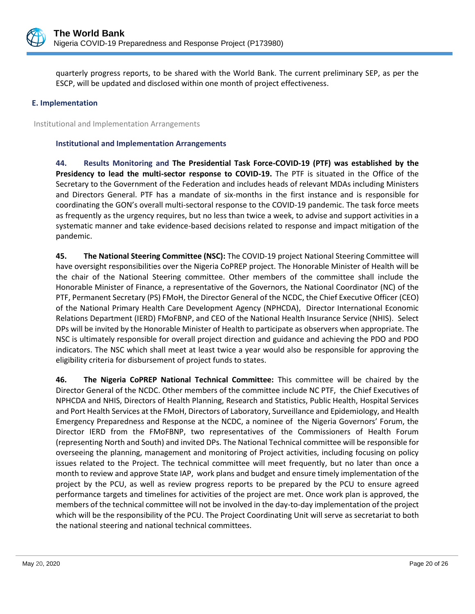

quarterly progress reports, to be shared with the World Bank. The current preliminary SEP, as per the ESCP, will be updated and disclosed within one month of project effectiveness.

## **E. Implementation**

Institutional and Implementation Arrangements

## **Institutional and Implementation Arrangements**

**44. Results Monitoring and The Presidential Task Force-COVID-19 (PTF) was established by the Presidency to lead the multi-sector response to COVID-19.** The PTF is situated in the Office of the Secretary to the Government of the Federation and includes heads of relevant MDAs including Ministers and Directors General. PTF has a mandate of six-months in the first instance and is responsible for coordinating the GON's overall multi-sectoral response to the COVID-19 pandemic. The task force meets as frequently as the urgency requires, but no less than twice a week, to advise and support activities in a systematic manner and take evidence-based decisions related to response and impact mitigation of the pandemic.

**45. The National Steering Committee (NSC):** The COVID-19 project National Steering Committee will have oversight responsibilities over the Nigeria CoPREP project. The Honorable Minister of Health will be the chair of the National Steering committee. Other members of the committee shall include the Honorable Minister of Finance, a representative of the Governors, the National Coordinator (NC) of the PTF, Permanent Secretary (PS) FMoH, the Director General of the NCDC, the Chief Executive Officer (CEO) of the National Primary Health Care Development Agency (NPHCDA), Director International Economic Relations Department (IERD) FMoFBNP, and CEO of the National Health Insurance Service (NHIS). Select DPs will be invited by the Honorable Minister of Health to participate as observers when appropriate. The NSC is ultimately responsible for overall project direction and guidance and achieving the PDO and PDO indicators. The NSC which shall meet at least twice a year would also be responsible for approving the eligibility criteria for disbursement of project funds to states.

**46. The Nigeria CoPREP National Technical Committee:** This committee will be chaired by the Director General of the NCDC. Other members of the committee include NC PTF, the Chief Executives of NPHCDA and NHIS, Directors of Health Planning, Research and Statistics, Public Health, Hospital Services and Port Health Services at the FMoH, Directors of Laboratory, Surveillance and Epidemiology, and Health Emergency Preparedness and Response at the NCDC, a nominee of the Nigeria Governors' Forum, the Director IERD from the FMoFBNP, two representatives of the Commissioners of Health Forum (representing North and South) and invited DPs. The National Technical committee will be responsible for overseeing the planning, management and monitoring of Project activities, including focusing on policy issues related to the Project. The technical committee will meet frequently, but no later than once a month to review and approve State IAP, work plans and budget and ensure timely implementation of the project by the PCU, as well as review progress reports to be prepared by the PCU to ensure agreed performance targets and timelines for activities of the project are met. Once work plan is approved, the members of the technical committee will not be involved in the day-to-day implementation of the project which will be the responsibility of the PCU. The Project Coordinating Unit will serve as secretariat to both the national steering and national technical committees.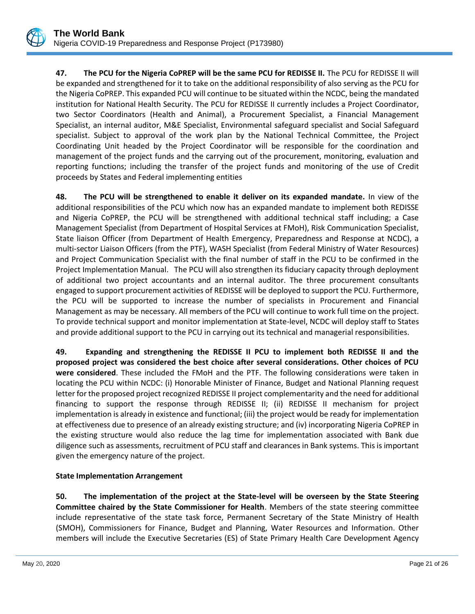**47. The PCU for the Nigeria CoPREP will be the same PCU for REDISSE II.** The PCU for REDISSE II will be expanded and strengthened for it to take on the additional responsibility of also serving as the PCU for the Nigeria CoPREP. This expanded PCU will continue to be situated within the NCDC, being the mandated institution for National Health Security. The PCU for REDISSE II currently includes a Project Coordinator, two Sector Coordinators (Health and Animal), a Procurement Specialist, a Financial Management Specialist, an internal auditor, M&E Specialist, Environmental safeguard specialist and Social Safeguard specialist. Subject to approval of the work plan by the National Technical Committee, the Project Coordinating Unit headed by the Project Coordinator will be responsible for the coordination and management of the project funds and the carrying out of the procurement, monitoring, evaluation and reporting functions; including the transfer of the project funds and monitoring of the use of Credit proceeds by States and Federal implementing entities

**48. The PCU will be strengthened to enable it deliver on its expanded mandate.** In view of the additional responsibilities of the PCU which now has an expanded mandate to implement both REDISSE and Nigeria CoPREP, the PCU will be strengthened with additional technical staff including; a Case Management Specialist (from Department of Hospital Services at FMoH), Risk Communication Specialist, State liaison Officer (from Department of Health Emergency, Preparedness and Response at NCDC), a multi-sector Liaison Officers (from the PTF), WASH Specialist (from Federal Ministry of Water Resources) and Project Communication Specialist with the final number of staff in the PCU to be confirmed in the Project Implementation Manual. The PCU will also strengthen its fiduciary capacity through deployment of additional two project accountants and an internal auditor. The three procurement consultants engaged to support procurement activities of REDISSE will be deployed to support the PCU. Furthermore, the PCU will be supported to increase the number of specialists in Procurement and Financial Management as may be necessary. All members of the PCU will continue to work full time on the project. To provide technical support and monitor implementation at State-level, NCDC will deploy staff to States and provide additional support to the PCU in carrying out its technical and managerial responsibilities.

**49. Expanding and strengthening the REDISSE II PCU to implement both REDISSE II and the proposed project was considered the best choice after several considerations. Other choices of PCU were considered**. These included the FMoH and the PTF. The following considerations were taken in locating the PCU within NCDC: (i) Honorable Minister of Finance, Budget and National Planning request letter for the proposed project recognized REDISSE II project complementarity and the need for additional financing to support the response through REDISSE II; (ii) REDISSE II mechanism for project implementation is already in existence and functional; (iii) the project would be ready for implementation at effectiveness due to presence of an already existing structure; and (iv) incorporating Nigeria CoPREP in the existing structure would also reduce the lag time for implementation associated with Bank due diligence such as assessments, recruitment of PCU staff and clearances in Bank systems. This is important given the emergency nature of the project.

## **State Implementation Arrangement**

**50. The implementation of the project at the State-level will be overseen by the State Steering Committee chaired by the State Commissioner for Health**. Members of the state steering committee include representative of the state task force, Permanent Secretary of the State Ministry of Health (SMOH), Commissioners for Finance, Budget and Planning, Water Resources and Information. Other members will include the Executive Secretaries (ES) of State Primary Health Care Development Agency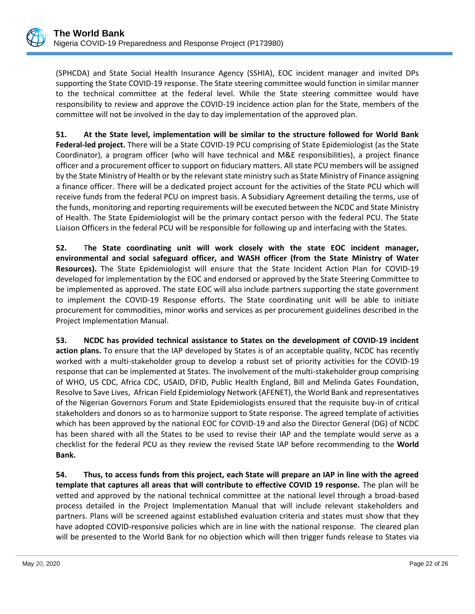(SPHCDA) and State Social Health Insurance Agency (SSHIA), EOC incident manager and invited DPs supporting the State COVID-19 response. The State steering committee would function in similar manner to the technical committee at the federal level. While the State steering committee would have responsibility to review and approve the COVID-19 incidence action plan for the State, members of the committee will not be involved in the day to day implementation of the approved plan.

**51. At the State level, implementation will be similar to the structure followed for World Bank Federal-led project.** There will be a State COVID-19 PCU comprising of State Epidemiologist (as the State Coordinator), a program officer (who will have technical and M&E responsibilities), a project finance officer and a procurement officer to support on fiduciary matters. All state PCU members will be assigned by the State Ministry of Health or by the relevant state ministry such as State Ministry of Finance assigning a finance officer. There will be a dedicated project account for the activities of the State PCU which will receive funds from the federal PCU on imprest basis. A Subsidiary Agreement detailing the terms, use of the funds, monitoring and reporting requirements will be executed between the NCDC and State Ministry of Health. The State Epidemiologist will be the primary contact person with the federal PCU. The State Liaison Officers in the federal PCU will be responsible for following up and interfacing with the States.

**52.** T**he State coordinating unit will work closely with the state EOC incident manager, environmental and social safeguard officer, and WASH officer (from the State Ministry of Water Resources).** The State Epidemiologist will ensure that the State Incident Action Plan for COVID-19 developed for implementation by the EOC and endorsed or approved by the State Steering Committee to be implemented as approved. The state EOC will also include partners supporting the state government to implement the COVID-19 Response efforts. The State coordinating unit will be able to initiate procurement for commodities, minor works and services as per procurement guidelines described in the Project Implementation Manual.

**53. NCDC has provided technical assistance to States on the development of COVID-19 incident action plans.** To ensure that the IAP developed by States is of an acceptable quality, NCDC has recently worked with a multi-stakeholder group to develop a robust set of priority activities for the COVID-19 response that can be implemented at States. The involvement of the multi-stakeholder group comprising of WHO, US CDC, Africa CDC, USAID, DFID, Public Health England, Bill and Melinda Gates Foundation, Resolve to Save Lives, African Field Epidemiology Network (AFENET), the World Bank and representatives of the Nigerian Governors Forum and State Epidemiologists ensured that the requisite buy-in of critical stakeholders and donors so as to harmonize support to State response. The agreed template of activities which has been approved by the national EOC for COVID-19 and also the Director General (DG) of NCDC has been shared with all the States to be used to revise their IAP and the template would serve as a checklist for the federal PCU as they review the revised State IAP before recommending to the **World Bank.** 

**54. Thus, to access funds from this project, each State will prepare an IAP in line with the agreed template that captures all areas that will contribute to effective COVID 19 response.** The plan will be vetted and approved by the national technical committee at the national level through a broad-based process detailed in the Project Implementation Manual that will include relevant stakeholders and partners. Plans will be screened against established evaluation criteria and states must show that they have adopted COVID-responsive policies which are in line with the national response. The cleared plan will be presented to the World Bank for no objection which will then trigger funds release to States via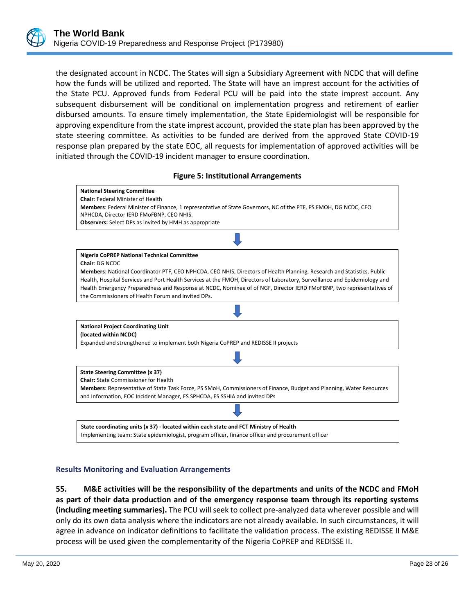the designated account in NCDC. The States will sign a Subsidiary Agreement with NCDC that will define how the funds will be utilized and reported. The State will have an imprest account for the activities of the State PCU. Approved funds from Federal PCU will be paid into the state imprest account. Any subsequent disbursement will be conditional on implementation progress and retirement of earlier disbursed amounts. To ensure timely implementation, the State Epidemiologist will be responsible for approving expenditure from the state imprest account, provided the state plan has been approved by the state steering committee. As activities to be funded are derived from the approved State COVID-19 response plan prepared by the state EOC, all requests for implementation of approved activities will be initiated through the COVID-19 incident manager to ensure coordination.

#### **Figure 5: Institutional Arrangements**



## **Results Monitoring and Evaluation Arrangements**

**55. M&E activities will be the responsibility of the departments and units of the NCDC and FMoH as part of their data production and of the emergency response team through its reporting systems (including meeting summaries).** The PCU will seek to collect pre-analyzed data wherever possible and will only do its own data analysis where the indicators are not already available. In such circumstances, it will agree in advance on indicator definitions to facilitate the validation process. The existing REDISSE II M&E process will be used given the complementarity of the Nigeria CoPREP and REDISSE II.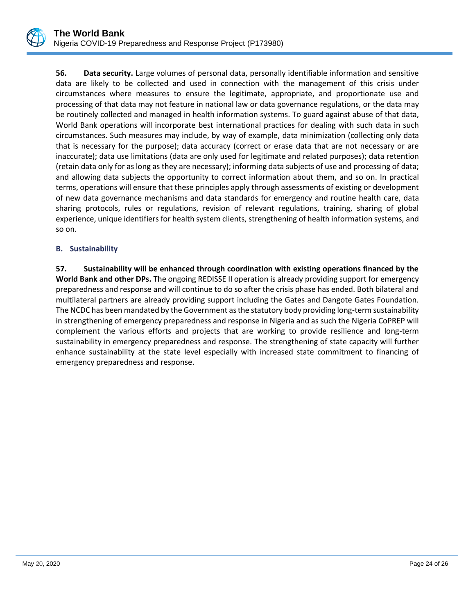**56. Data security.** Large volumes of personal data, personally identifiable information and sensitive data are likely to be collected and used in connection with the management of this crisis under circumstances where measures to ensure the legitimate, appropriate, and proportionate use and processing of that data may not feature in national law or data governance regulations, or the data may be routinely collected and managed in health information systems. To guard against abuse of that data, World Bank operations will incorporate best international practices for dealing with such data in such circumstances. Such measures may include, by way of example, data minimization (collecting only data that is necessary for the purpose); data accuracy (correct or erase data that are not necessary or are inaccurate); data use limitations (data are only used for legitimate and related purposes); data retention (retain data only for as long as they are necessary); informing data subjects of use and processing of data; and allowing data subjects the opportunity to correct information about them, and so on. In practical terms, operations will ensure that these principles apply through assessments of existing or development of new data governance mechanisms and data standards for emergency and routine health care, data sharing protocols, rules or regulations, revision of relevant regulations, training, sharing of global experience, unique identifiers for health system clients, strengthening of health information systems, and so on.

## **B. Sustainability**

**57. Sustainability will be enhanced through coordination with existing operations financed by the World Bank and other DPs.** The ongoing REDISSE II operation is already providing support for emergency preparedness and response and will continue to do so after the crisis phase has ended. Both bilateral and multilateral partners are already providing support including the Gates and Dangote Gates Foundation. The NCDC has been mandated by the Government as the statutory body providing long-term sustainability in strengthening of emergency preparedness and response in Nigeria and as such the Nigeria CoPREP will complement the various efforts and projects that are working to provide resilience and long-term sustainability in emergency preparedness and response. The strengthening of state capacity will further enhance sustainability at the state level especially with increased state commitment to financing of emergency preparedness and response.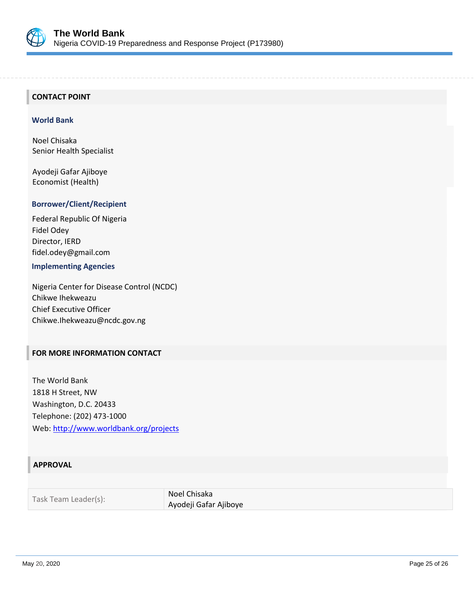

#### **CONTACT POINT**

#### **World Bank**

Noel Chisaka Senior Health Specialist

Ayodeji Gafar Ajiboye Economist (Health)

#### **Borrower/Client/Recipient**

Federal Republic Of Nigeria Fidel Odey Director, IERD fidel.odey@gmail.com

#### **Implementing Agencies**

Nigeria Center for Disease Control (NCDC) Chikwe Ihekweazu Chief Executive Officer Chikwe.Ihekweazu@ncdc.gov.ng

#### **FOR MORE INFORMATION CONTACT**

The World Bank 1818 H Street, NW Washington, D.C. 20433 Telephone: (202) 473-1000 Web:<http://www.worldbank.org/projects>

## **APPROVAL**

|                      | Noel Chisaka          |
|----------------------|-----------------------|
| Task Team Leader(s): | Ayodeji Gafar Ajiboye |